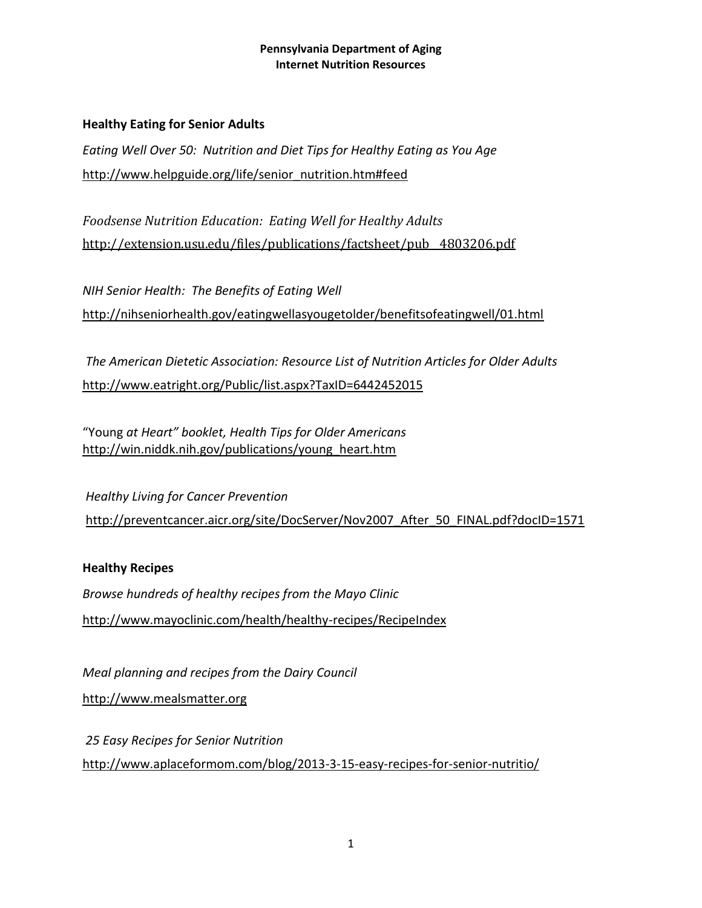# **Healthy Eating for Senior Adults**

*Eating Well Over 50: Nutrition and Diet Tips for Healthy Eating as You Age* [http://www.helpguide.org/life/senior\\_nutrition.htm#feed](http://www.helpguide.org/life/senior_nutrition.htm#feed)

*Foodsense Nutrition Education: Eating Well for Healthy Adults* [http://extension.usu.edu/files/publications/factsheet/pub\\_\\_4803206.pdf](http://extension.usu.edu/files/publications/factsheet/pub__4803206.pdf)

*NIH Senior Health: The Benefits of Eating Well* <http://nihseniorhealth.gov/eatingwellasyougetolder/benefitsofeatingwell/01.html>

*The American Dietetic Association: Resource List of Nutrition Articles for Older Adults* <http://www.eatright.org/Public/list.aspx?TaxID=6442452015>

"Young *at Heart" booklet, Health Tips for Older Americans* [http://win.niddk.nih.gov/publications/young\\_heart.htm](http://win.niddk.nih.gov/publications/young_heart.htm)

*Healthy Living for Cancer Prevention* http://preventcancer.aicr.org/site/DocServer/Nov2007\_After\_50\_FINAL.pdf?docID=1571

# **Healthy Recipes**

*Browse hundreds of healthy recipes from the Mayo Clinic* <http://www.mayoclinic.com/health/healthy-recipes/RecipeIndex>

*Meal planning and recipes from the Dairy Council*

[http://www.mealsmatter.org](http://www.mealsmatter.org/)

*25 Easy Recipes for Senior Nutrition* <http://www.aplaceformom.com/blog/2013-3-15-easy-recipes-for-senior-nutritio/>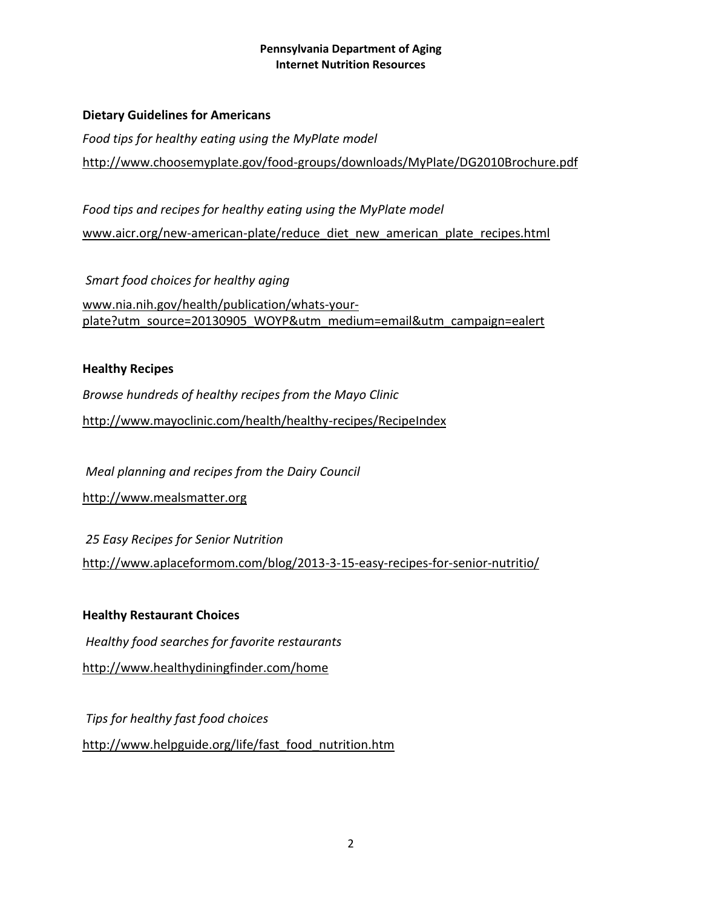#### **Dietary Guidelines for Americans**

*Food tips for healthy eating using the MyPlate model* <http://www.choosemyplate.gov/food-groups/downloads/MyPlate/DG2010Brochure.pdf>

*Food tips and recipes for healthy eating using the MyPlate model* www.aicr.org/new-american-plate/reduce diet new american plate recipes.html

*Smart food choices for healthy aging* [www.nia.nih.gov/health/publication/whats-your](http://www.nia.nih.gov/health/publication/whats-your-plate?utm_source=20130905_WOYP&utm_medium=email&utm_campaign=ealert)[plate?utm\\_source=20130905\\_WOYP&utm\\_medium=email&utm\\_campaign=ealert](http://www.nia.nih.gov/health/publication/whats-your-plate?utm_source=20130905_WOYP&utm_medium=email&utm_campaign=ealert)

## **Healthy Recipes**

*Browse hundreds of healthy recipes from the Mayo Clinic*

<http://www.mayoclinic.com/health/healthy-recipes/RecipeIndex>

*Meal planning and recipes from the Dairy Council*

[http://www.mealsmatter.org](http://www.mealsmatter.org/)

*25 Easy Recipes for Senior Nutrition* <http://www.aplaceformom.com/blog/2013-3-15-easy-recipes-for-senior-nutritio/>

# **Healthy Restaurant Choices**

*Healthy food searches for favorite restaurants*

<http://www.healthydiningfinder.com/home>

*Tips for healthy fast food choices* [http://www.helpguide.org/life/fast\\_food\\_nutrition.htm](http://www.helpguide.org/life/fast_food_nutrition.htm)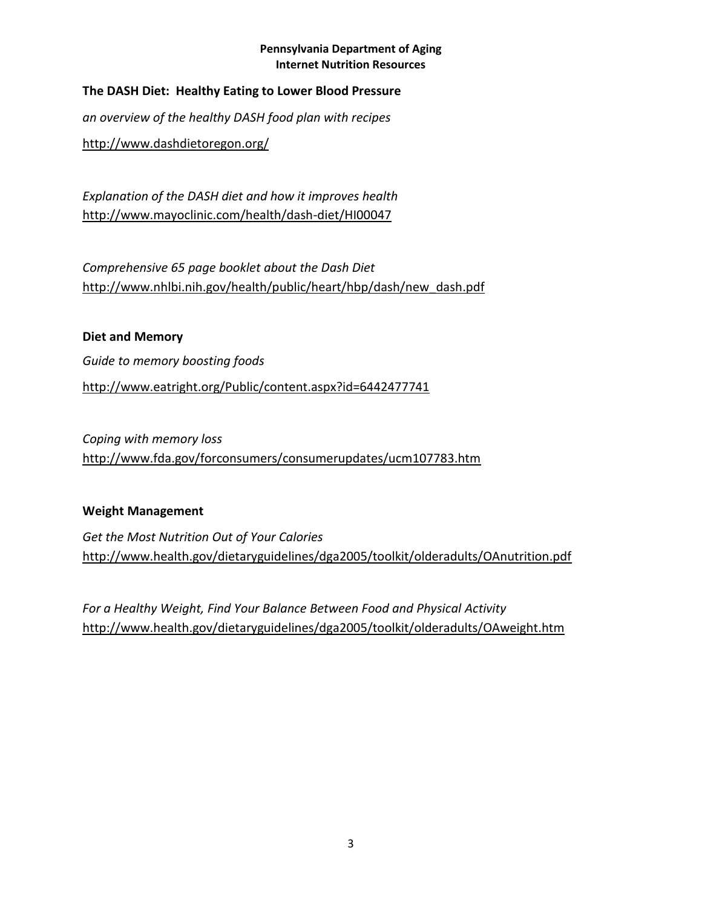# **The DASH Diet: Healthy Eating to Lower Blood Pressure**

*an overview of the healthy DASH food plan with recipes*

<http://www.dashdietoregon.org/>

*Explanation of the DASH diet and how it improves health* <http://www.mayoclinic.com/health/dash-diet/HI00047>

*Comprehensive 65 page booklet about the Dash Diet* http://www.nhlbi.nih.gov/health/public/heart/hbp/dash/new\_dash.pdf

**Diet and Memory** *Guide to memory boosting foods* <http://www.eatright.org/Public/content.aspx?id=6442477741>

*Coping with memory loss* <http://www.fda.gov/forconsumers/consumerupdates/ucm107783.htm>

# **Weight Management**

*Get the Most Nutrition Out of Your Calories* <http://www.health.gov/dietaryguidelines/dga2005/toolkit/olderadults/OAnutrition.pdf>

*For a Healthy Weight, Find Your Balance Between Food and Physical Activity* <http://www.health.gov/dietaryguidelines/dga2005/toolkit/olderadults/OAweight.htm>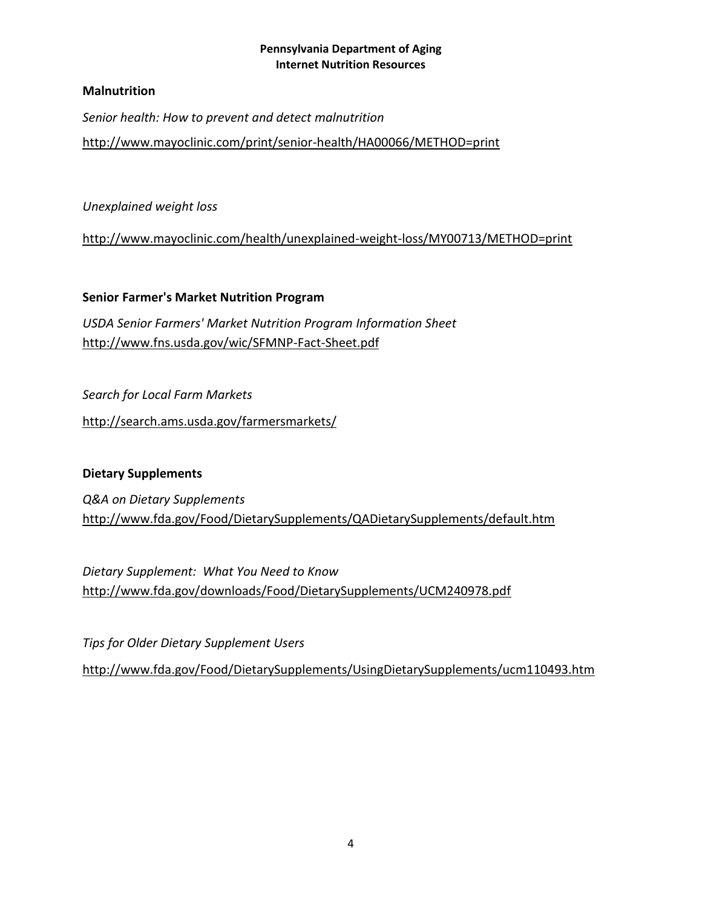# **Malnutrition**

*Senior health: How to prevent and detect malnutrition*

<http://www.mayoclinic.com/print/senior-health/HA00066/METHOD=print>

*Unexplained weight loss*

<http://www.mayoclinic.com/health/unexplained-weight-loss/MY00713/METHOD=print>

**Senior Farmer's Market Nutrition Program** *USDA Senior Farmers' Market Nutrition Program Information Sheet* <http://www.fns.usda.gov/wic/SFMNP-Fact-Sheet.pdf>

*Search for Local Farm Markets*

http://search.ams.usda.gov/farmersmarkets/

# **Dietary Supplements**

*Q&A on Dietary Supplements* <http://www.fda.gov/Food/DietarySupplements/QADietarySupplements/default.htm>

*Dietary Supplement: What You Need to Know* <http://www.fda.gov/downloads/Food/DietarySupplements/UCM240978.pdf>

*Tips for Older Dietary Supplement Users*

<http://www.fda.gov/Food/DietarySupplements/UsingDietarySupplements/ucm110493.htm>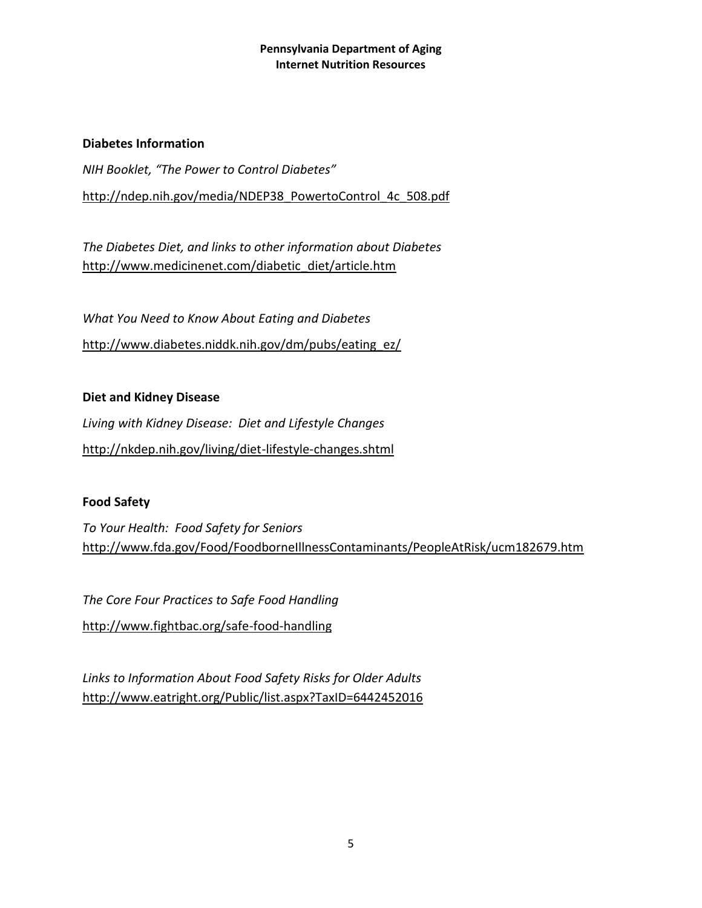#### **Diabetes Information**

*NIH Booklet, "The Power to Control Diabetes"* [http://ndep.nih.gov/media/NDEP38\\_PowertoControl\\_4c\\_508.pdf](http://ndep.nih.gov/media/NDEP38_PowertoControl_4c_508.pdf)

*The Diabetes Diet, and links to other information about Diabetes* [http://www.medicinenet.com/diabetic\\_diet/article.htm](http://www.medicinenet.com/diabetic_diet/article.htm)

*What You Need to Know About Eating and Diabetes* [http://www.diabetes.niddk.nih.gov/dm/pubs/eating\\_ez/](http://www.diabetes.niddk.nih.gov/dm/pubs/eating_ez/)

# **Diet and Kidney Disease**

*Living with Kidney Disease: Diet and Lifestyle Changes* <http://nkdep.nih.gov/living/diet-lifestyle-changes.shtml>

# **Food Safety**

*To Your Health: Food Safety for Seniors* <http://www.fda.gov/Food/FoodborneIllnessContaminants/PeopleAtRisk/ucm182679.htm>

*The Core Four Practices to Safe Food Handling* <http://www.fightbac.org/safe-food-handling>

*Links to Information About Food Safety Risks for Older Adults* <http://www.eatright.org/Public/list.aspx?TaxID=6442452016>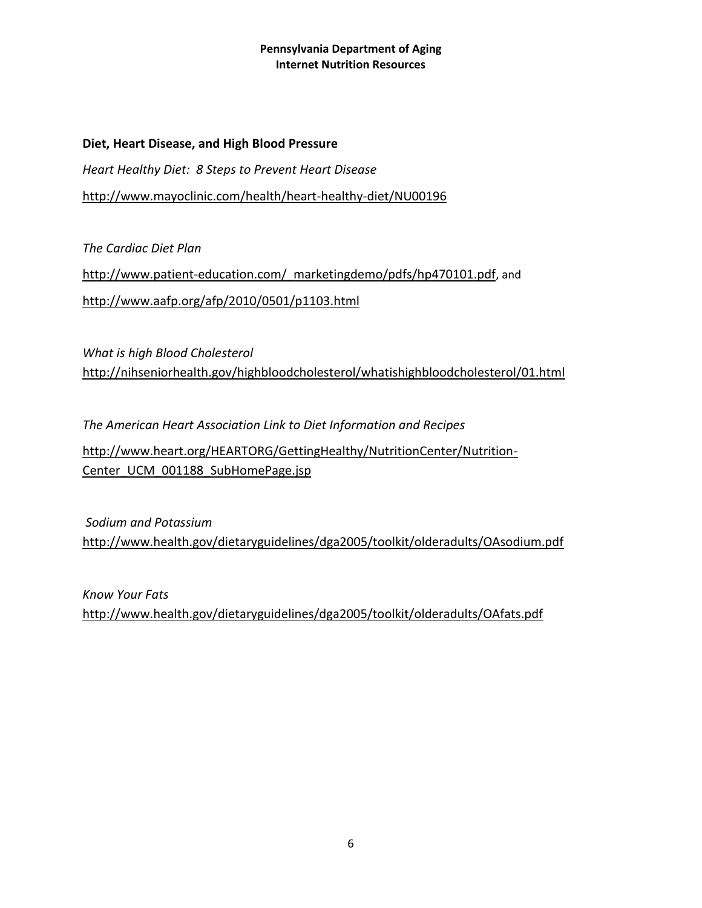**Diet, Heart Disease, and High Blood Pressure** *Heart Healthy Diet: 8 Steps to Prevent Heart Disease* <http://www.mayoclinic.com/health/heart-healthy-diet/NU00196>

*The Cardiac Diet Plan* http://www.patient-education.com/ marketingdemo/pdfs/hp470101.pdf, and <http://www.aafp.org/afp/2010/0501/p1103.html>

*What is high Blood Cholesterol* <http://nihseniorhealth.gov/highbloodcholesterol/whatishighbloodcholesterol/01.html>

*The American Heart Association Link to Diet Information and Recipes* [http://www.heart.org/HEARTORG/GettingHealthy/NutritionCenter/Nutrition-](http://www.heart.org/HEARTORG/GettingHealthy/NutritionCenter/Nutrition-Center_UCM_001188_SubHomePage.jsp)[Center\\_UCM\\_001188\\_SubHomePage.jsp](http://www.heart.org/HEARTORG/GettingHealthy/NutritionCenter/Nutrition-Center_UCM_001188_SubHomePage.jsp)

*Sodium and Potassium* <http://www.health.gov/dietaryguidelines/dga2005/toolkit/olderadults/OAsodium.pdf>

*Know Your Fats* <http://www.health.gov/dietaryguidelines/dga2005/toolkit/olderadults/OAfats.pdf>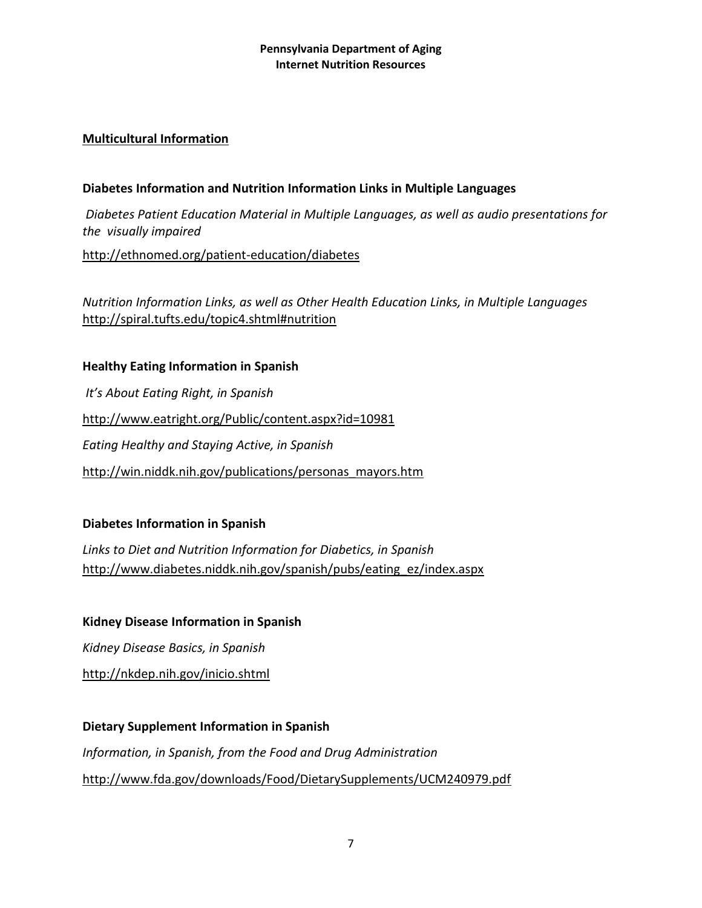# **Multicultural Information**

# **Diabetes Information and Nutrition Information Links in Multiple Languages**

*Diabetes Patient Education Material in Multiple Languages, as well as audio presentations for the visually impaired*

<http://ethnomed.org/patient-education/diabetes>

*Nutrition Information Links, as well as Other Health Education Links, in Multiple Languages* <http://spiral.tufts.edu/topic4.shtml#nutrition>

## **Healthy Eating Information in Spanish**

*It's About Eating Right, in Spanish* <http://www.eatright.org/Public/content.aspx?id=10981> *Eating Healthy and Staying Active, in Spanish* [http://win.niddk.nih.gov/publications/personas\\_mayors.htm](http://win.niddk.nih.gov/publications/personas_mayors.htm)

# **Diabetes Information in Spanish**

*Links to Diet and Nutrition Information for Diabetics, in Spanish* [http://www.diabetes.niddk.nih.gov/spanish/pubs/eating\\_ez/index.aspx](http://www.diabetes.niddk.nih.gov/spanish/pubs/eating_ez/index.aspx)

#### **Kidney Disease Information in Spanish**

*Kidney Disease Basics, in Spanish*

<http://nkdep.nih.gov/inicio.shtml>

# **Dietary Supplement Information in Spanish** *Information, in Spanish, from the Food and Drug Administration* <http://www.fda.gov/downloads/Food/DietarySupplements/UCM240979.pdf>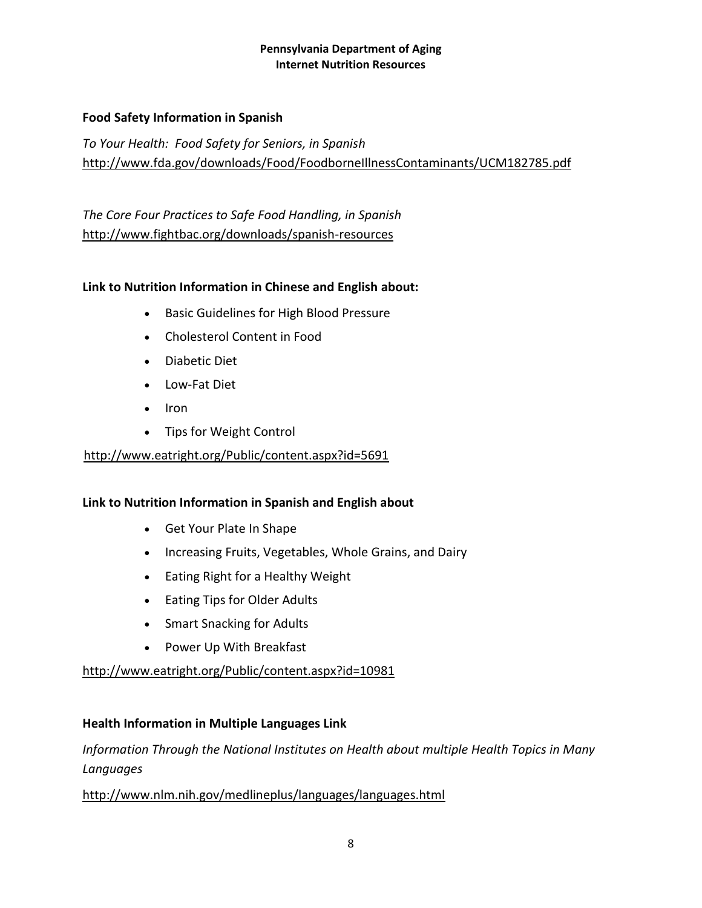# **Food Safety Information in Spanish**

*To Your Health: Food Safety for Seniors, in Spanish* <http://www.fda.gov/downloads/Food/FoodborneIllnessContaminants/UCM182785.pdf>

*The Core Four Practices to Safe Food Handling, in Spanish* <http://www.fightbac.org/downloads/spanish-resources>

# **Link to Nutrition Information in Chinese and English about:**

- **•** [Basic Guidelines for High Blood Pressure](http://www.eatright.org/WorkArea/linkit.aspx?LinkIdentifier=id&ItemID=10022)
- [Cholesterol Content in Food](http://www.eatright.org/WorkArea/linkit.aspx?LinkIdentifier=id&ItemID=10023)
- [Diabetic Diet](http://www.eatright.org/WorkArea/linkit.aspx?LinkIdentifier=id&ItemID=10024)
- [Low-Fat Diet](http://www.eatright.org/WorkArea/linkit.aspx?LinkIdentifier=id&ItemID=10025)
- $\bullet$  [Iron](http://www.eatright.org/WorkArea/linkit.aspx?LinkIdentifier=id&ItemID=10026)
- [Tips for Weight Control](http://www.eatright.org/WorkArea/linkit.aspx?LinkIdentifier=id&ItemID=10027)

#### <http://www.eatright.org/Public/content.aspx?id=5691>

#### **Link to Nutrition Information in Spanish and English about**

- [Get](http://www.eatright.org/WorkArea/linkit.aspx?LinkIdentifier=id&ItemID=10022) Your Plate In Shape
- [Increasing](http://www.eatright.org/WorkArea/linkit.aspx?LinkIdentifier=id&ItemID=10023) Fruits, Vegetables, Whole Grains, and Dairy
- [Eating](http://www.eatright.org/WorkArea/linkit.aspx?LinkIdentifier=id&ItemID=10024) Right for a Healthy Weight
- [Eating](http://www.eatright.org/WorkArea/linkit.aspx?LinkIdentifier=id&ItemID=10025) Tips for Older Adults
- [Smart](http://www.eatright.org/WorkArea/linkit.aspx?LinkIdentifier=id&ItemID=10026) Snacking for Adults
- [Power](http://www.eatright.org/WorkArea/linkit.aspx?LinkIdentifier=id&ItemID=10027) Up With Breakfast

<http://www.eatright.org/Public/content.aspx?id=10981>

#### **Health Information in Multiple Languages Link**

*Information Through the National Institutes on Health about multiple Health Topics in Many Languages*

<http://www.nlm.nih.gov/medlineplus/languages/languages.html>